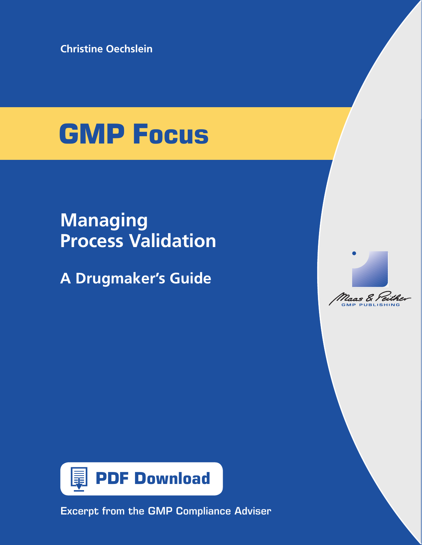**Christine Oechslein**

# **GMP Focus**

## **Managing Process Validation**

**A Drugmaker's Guide**





Excerpt from the GMP Compliance Adviser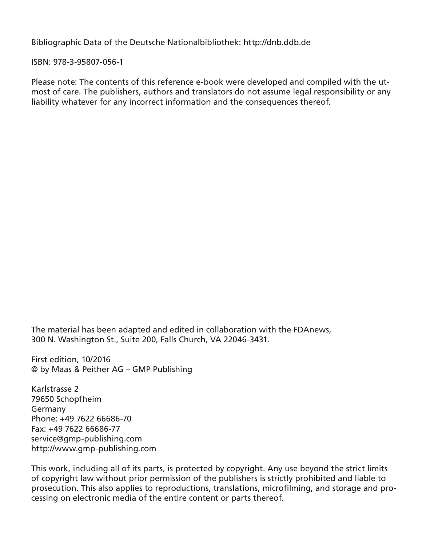Bibliographic Data of the Deutsche Nationalbibliothek: http://dnb.ddb.de

ISBN: 978-3-95807-056-1

Please note: The contents of this reference e-book were developed and compiled with the utmost of care. The publishers, authors and translators do not assume legal responsibility or any liability whatever for any incorrect information and the consequences thereof.

The material has been adapted and edited in collaboration with the FDAnews, 300 N. Washington St., Suite 200, Falls Church, VA 22046-3431.

First edition, 10/2016 © by Maas & Peither AG – GMP Publishing

Karlstrasse 2 79650 Schopfheim Germany Phone: +49 7622 66686-70 Fax: +49 7622 66686-77 service@gmp-publishing.com http://www.gmp-publishing.com

This work, including all of its parts, is protected by copyright. Any use beyond the strict limits of copyright law without prior permission of the publishers is strictly prohibited and liable to prosecution. This also applies to reproductions, translations, microfilming, and storage and processing on electronic media of the entire content or parts thereof.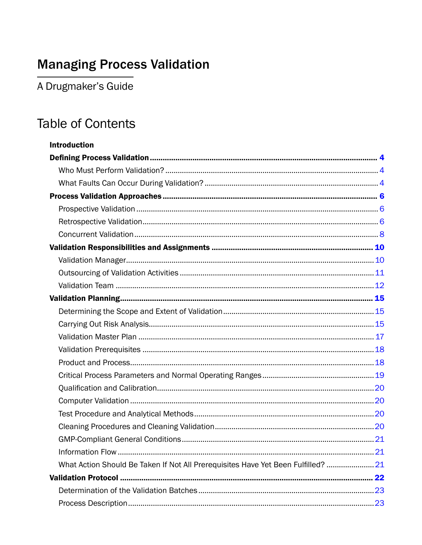## **Managing Process Validation**

A Drugmaker's Guide

## **Table of Contents**

| <b>Introduction</b>                                                               |  |
|-----------------------------------------------------------------------------------|--|
|                                                                                   |  |
|                                                                                   |  |
|                                                                                   |  |
|                                                                                   |  |
|                                                                                   |  |
|                                                                                   |  |
|                                                                                   |  |
|                                                                                   |  |
|                                                                                   |  |
|                                                                                   |  |
|                                                                                   |  |
|                                                                                   |  |
|                                                                                   |  |
|                                                                                   |  |
|                                                                                   |  |
|                                                                                   |  |
|                                                                                   |  |
|                                                                                   |  |
|                                                                                   |  |
|                                                                                   |  |
|                                                                                   |  |
|                                                                                   |  |
|                                                                                   |  |
|                                                                                   |  |
| What Action Should Be Taken If Not All Prerequisites Have Yet Been Fulfilled?  21 |  |
|                                                                                   |  |
|                                                                                   |  |
|                                                                                   |  |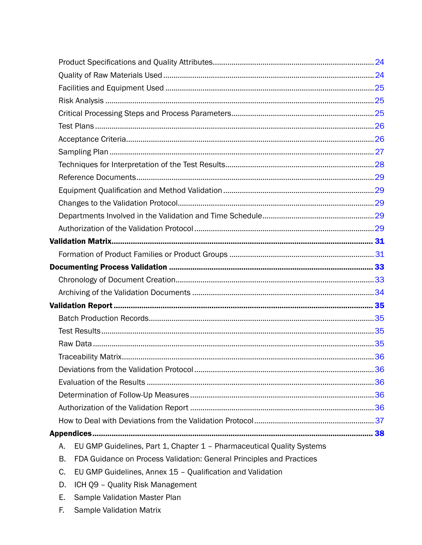| А. | EU GMP Guidelines, Part 1, Chapter 1 - Pharmaceutical Quality Systems |  |
|----|-----------------------------------------------------------------------|--|
| В. | FDA Guidance on Process Validation: General Principles and Practices  |  |
| C. | EU GMP Guidelines, Annex 15 - Qualification and Validation            |  |
| D. | ICH Q9 - Quality Risk Management                                      |  |
| Е. | Sample Validation Master Plan                                         |  |

F. Sample Validation Matrix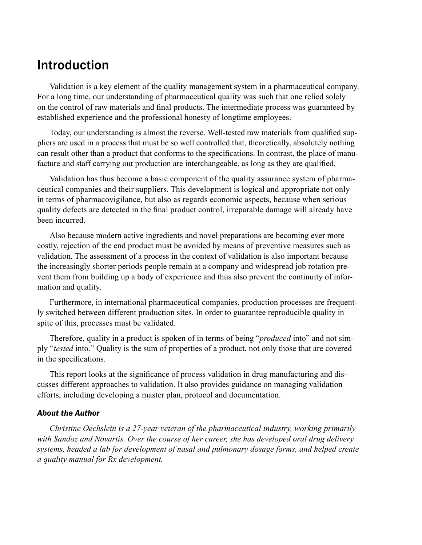### <span id="page-4-0"></span>Introduction

Validation is a key element of the quality management system in a pharmaceutical company. For a long time, our understanding of pharmaceutical quality was such that one relied solely on the control of raw materials and final products. The intermediate process was guaranteed by established experience and the professional honesty of longtime employees.

Today, our understanding is almost the reverse. Well-tested raw materials from qualified suppliers are used in a process that must be so well controlled that, theoretically, absolutely nothing can result other than a product that conforms to the specifications. In contrast, the place of manufacture and staff carrying out production are interchangeable, as long as they are qualified.

Validation has thus become a basic component of the quality assurance system of pharmaceutical companies and their suppliers. This development is logical and appropriate not only in terms of pharmacovigilance, but also as regards economic aspects, because when serious quality defects are detected in the final product control, irreparable damage will already have been incurred.

Also because modern active ingredients and novel preparations are becoming ever more costly, rejection of the end product must be avoided by means of preventive measures such as validation. The assessment of a process in the context of validation is also important because the increasingly shorter periods people remain at a company and widespread job rotation prevent them from building up a body of experience and thus also prevent the continuity of information and quality.

Furthermore, in international pharmaceutical companies, production processes are frequently switched between different production sites. In order to guarantee reproducible quality in spite of this, processes must be validated.

Therefore, quality in a product is spoken of in terms of being "*produced* into" and not simply "*tested* into." Quality is the sum of properties of a product, not only those that are covered in the specifications.

This report looks at the significance of process validation in drug manufacturing and discusses different approaches to validation. It also provides guidance on managing validation efforts, including developing a master plan, protocol and documentation.

#### *About the Author*

*Christine Oechslein is a 27-year veteran of the pharmaceutical industry, working primarily with Sandoz and Novartis. Over the course of her career, she has developed oral drug delivery systems, headed a lab for development of nasal and pulmonary dosage forms, and helped create a quality manual for Rx development.*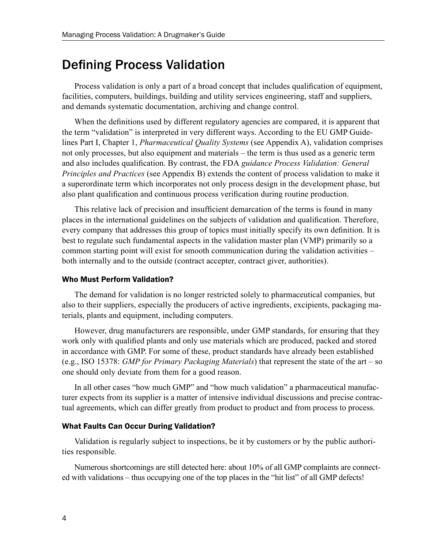### <span id="page-5-0"></span>Defining Process Validation

Process validation is only a part of a broad concept that includes qualification of equipment, facilities, computers, buildings, building and utility services engineering, staff and suppliers, and demands systematic documentation, archiving and change control.

When the definitions used by different regulatory agencies are compared, it is apparent that the term "validation" is interpreted in very different ways. According to the EU GMP Guidelines Part I, Chapter 1, *Pharmaceutical Quality Systems* ([see Appendix A\)](#page--1-44), validation comprises not only processes, but also equipment and materials – the term is thus used as a generic term and also includes qualification. By contrast, the FDA *guidance Process Validation: General Principles and Practices* [\(see Appendix B](#page--1-45)) extends the content of process validation to make it a superordinate term which incorporates not only process design in the development phase, but also plant qualification and continuous process verification during routine production.

This relative lack of precision and insufficient demarcation of the terms is found in many places in the international guidelines on the subjects of validation and qualification. Therefore, every company that addresses this group of topics must initially specify its own definition. It is best to regulate such fundamental aspects in the validation master plan (VMP) primarily so a common starting point will exist for smooth communication during the validation activities – both internally and to the outside (contract accepter, contract giver, authorities).

#### <span id="page-5-1"></span>Who Must Perform Validation?

The demand for validation is no longer restricted solely to pharmaceutical companies, but also to their suppliers, especially the producers of active ingredients, excipients, packaging materials, plants and equipment, including computers.

However, drug manufacturers are responsible, under GMP standards, for ensuring that they work only with qualified plants and only use materials which are produced, packed and stored in accordance with GMP. For some of these, product standards have already been established (e.g., ISO 15378: *GMP for Primary Packaging Materials*) that represent the state of the art – so one should only deviate from them for a good reason.

In all other cases "how much GMP" and "how much validation" a pharmaceutical manufacturer expects from its supplier is a matter of intensive individual discussions and precise contractual agreements, which can differ greatly from product to product and from process to process.

#### <span id="page-5-2"></span>What Faults Can Occur During Validation?

Validation is regularly subject to inspections, be it by customers or by the public authorities responsible.

Numerous shortcomings are still detected here: about 10% of all GMP complaints are connected with validations – thus occupying one of the top places in the "hit list" of all GMP defects!